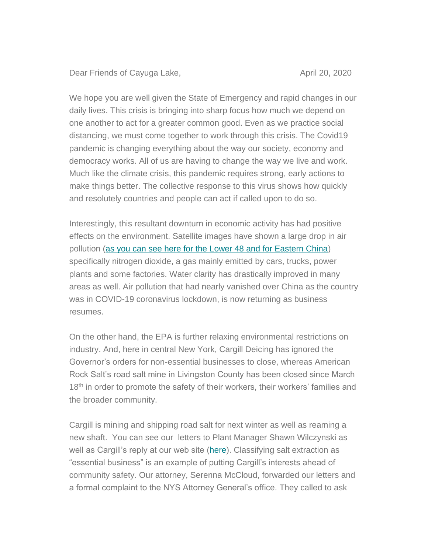Dear Friends of Cayuga Lake, April 20, 2020

We hope you are well given the State of Emergency and rapid changes in our daily lives. This crisis is bringing into sharp focus how much we depend on one another to act for a greater common good. Even as we practice social distancing, we must come together to work through this crisis. The Covid19 pandemic is changing everything about the way our society, economy and democracy works. All of us are having to change the way we live and work. Much like the climate crisis, this pandemic requires strong, early actions to make things better. The collective response to this virus shows how quickly and resolutely countries and people can act if called upon to do so.

Interestingly, this resultant downturn in economic activity has had positive effects on the environment. Satellite images have shown a large drop in air pollution [\(as you can see here for the Lower 48 and for Eastern China\)](https://earther.gizmodo.com/coronavirus-slashes-global-air-pollution-interactive-m-1842473790) specifically nitrogen dioxide, a gas mainly emitted by cars, trucks, power plants and some factories. Water clarity has drastically improved in many areas as well. Air pollution that had nearly vanished over China as the country was in COVID-19 coronavirus lockdown, is now returning as business resumes.

On the other hand, the EPA is further relaxing environmental restrictions on industry. And, here in central New York, Cargill Deicing has ignored the Governor's orders for non-essential businesses to close, whereas American Rock Salt's road salt mine in Livingston County has been closed since March 18<sup>th</sup> in order to promote the safety of their workers, their workers' families and the broader community.

Cargill is mining and shipping road salt for next winter as well as reaming a new shaft. You can see our letters to Plant Manager Shawn Wilczynski as well as Cargill's reply at our web site [\(here\)](https://cleancayugalake.org/cargill-salt/). Classifying salt extraction as "essential business" is an example of putting Cargill's interests ahead of community safety. Our attorney, Serenna McCloud, forwarded our letters and a formal complaint to the NYS Attorney General's office. They called to ask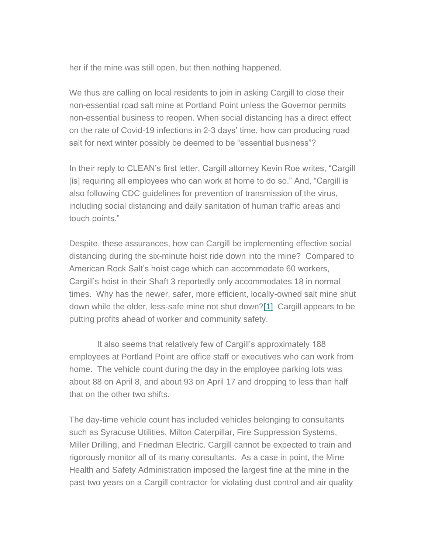her if the mine was still open, but then nothing happened.

We thus are calling on local residents to join in asking Cargill to close their non-essential road salt mine at Portland Point unless the Governor permits non-essential business to reopen. When social distancing has a direct effect on the rate of Covid-19 infections in 2-3 days' time, how can producing road salt for next winter possibly be deemed to be "essential business"?

In their reply to CLEAN's first letter, Cargill attorney Kevin Roe writes, "Cargill [is] requiring all employees who can work at home to do so." And, "Cargill is also following CDC guidelines for prevention of transmission of the virus, including social distancing and daily sanitation of human traffic areas and touch points."

Despite, these assurances, how can Cargill be implementing effective social distancing during the six-minute hoist ride down into the mine? Compared to American Rock Salt's hoist cage which can accommodate 60 workers, Cargill's hoist in their Shaft 3 reportedly only accommodates 18 in normal times. Why has the newer, safer, more efficient, locally-owned salt mine shut down while the older, less-safe mine not shut down[?\[1\]](https://us16.admin.mailchimp.com/campaigns/preview-content-html?id=1364658#_ftn1) Cargill appears to be putting profits ahead of worker and community safety.

 It also seems that relatively few of Cargill's approximately 188 employees at Portland Point are office staff or executives who can work from home. The vehicle count during the day in the employee parking lots was about 88 on April 8, and about 93 on April 17 and dropping to less than half that on the other two shifts.

The day-time vehicle count has included vehicles belonging to consultants such as Syracuse Utilities, Milton Caterpillar, Fire Suppression Systems, Miller Drilling, and Friedman Electric. Cargill cannot be expected to train and rigorously monitor all of its many consultants. As a case in point, the Mine Health and Safety Administration imposed the largest fine at the mine in the past two years on a Cargill contractor for violating dust control and air quality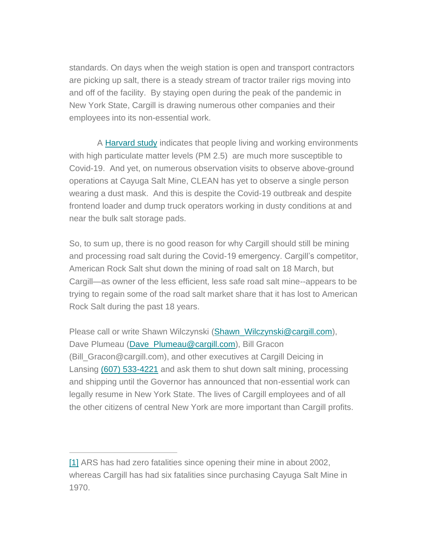standards. On days when the weigh station is open and transport contractors are picking up salt, there is a steady stream of tractor trailer rigs moving into and off of the facility. By staying open during the peak of the pandemic in New York State, Cargill is drawing numerous other companies and their employees into its non-essential work.

 A [Harvard study](https://projects.iq.harvard.edu/covid-pm/home) indicates that people living and working environments with high particulate matter levels (PM 2.5) are much more susceptible to Covid-19. And yet, on numerous observation visits to observe above-ground operations at Cayuga Salt Mine, CLEAN has yet to observe a single person wearing a dust mask. And this is despite the Covid-19 outbreak and despite frontend loader and dump truck operators working in dusty conditions at and near the bulk salt storage pads.

So, to sum up, there is no good reason for why Cargill should still be mining and processing road salt during the Covid-19 emergency. Cargill's competitor, American Rock Salt shut down the mining of road salt on 18 March, but Cargill—as owner of the less efficient, less safe road salt mine--appears to be trying to regain some of the road salt market share that it has lost to American Rock Salt during the past 18 years.

Please call or write Shawn Wilczynski [\(Shawn\\_Wilczynski@cargill.com\)](mailto:Shawn_Wilczynski@cargill.com), Dave Plumeau (Dave Plumeau@cargill.com), Bill Gracon (Bill\_Gracon@cargill.com), and other executives at Cargill Deicing in Lansing [\(607\) 533-4221](https://hangouts.google.com/?action=chat&pn=%2B16075334221&hl=en&authuser=0) and ask them to shut down salt mining, processing and shipping until the Governor has announced that non-essential work can legally resume in New York State. The lives of Cargill employees and of all the other citizens of central New York are more important than Cargill profits.

[<sup>\[1\]</sup>](https://us16.admin.mailchimp.com/campaigns/preview-content-html?id=1364658#_ftnref1) ARS has had zero fatalities since opening their mine in about 2002, whereas Cargill has had six fatalities since purchasing Cayuga Salt Mine in 1970.